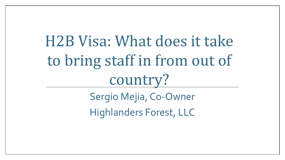H2B Visa: What does it take to bring staff in from out of country?

> Sergio Mejia, Co-Owner Highlanders Forest, LLC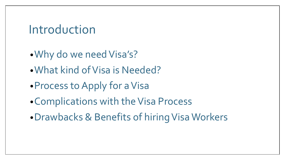#### Introduction

- •Why do we need Visa's?
- •What kind of Visa is Needed?
- •Process to Apply for a Visa
- •Complications with the Visa Process
- •Drawbacks & Benefits of hiring Visa Workers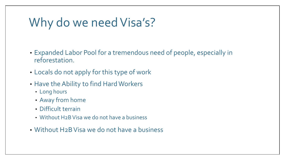## Why do we need Visa's?

- Expanded Labor Pool for a tremendous need of people, especially in reforestation.
- Locals do not apply for this type of work
- Have the Ability to find Hard Workers
	- Long hours
	- Away from home
	- Difficult terrain
	- Without H2B Visa we do not have a business
- Without H2B Visa we do not have a business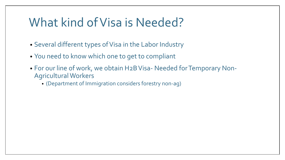#### What kind of Visa is Needed?

- Several different types of Visa in the Labor Industry
- You need to know which one to get to compliant
- For our line of work, we obtain H2B Visa- Needed for Temporary Non-Agricultural Workers
	- (Department of Immigration considers forestry non-ag)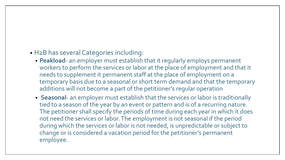#### • H2B has several Categories including:

- **Peakload** an employer must establish that it regularly employs permanent workers to perform the services or labor at the place of employment and that it needs to supplement it permanent staff at the place of employment on a temporary basis due to a seasonal or short term demand and that the temporary additions will not become a part of the petitioner's regular operation
- **Seasonal** an employer must establish that the services or labor is traditionally tied to a season of the year by an event or pattern and is of a recurring nature. The petitioner shall specify the periods of time during each year in which it does not need the services or labor. The employment is not seasonal if the period during which the services or labor is not needed, is unpredictable or subject to change or is considered a vacation period for the petitioner's permanent employee.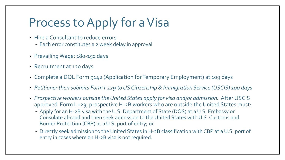# Process to Apply for a Visa

- Hire a Consultant to reduce errors
	- Each error constitutes a 2 week delay in approval
- Prevailing Wage: 180-150 days
- Recruitment at 120 days
- Complete a DOL Form 9142 (Application for Temporary Employment) at 109 days
- *Petitioner then submits Form I-129 to US Citizenship & Immigration Service (USCIS) 100 days*
- *Prospective workers outside the United States apply for visa and/or admission.* After USCIS approved Form I-129, prospective H-2B workers who are outside the United States must:
	- Apply for an H-2B visa with the U.S. Department of State (DOS) at a U.S. Embassy or Consulate abroad and then seek admission to the United States with U.S. Customs and Border Protection (CBP) at a U.S. port of entry; or
	- Directly seek admission to the United States in H-2B classification with CBP at a U.S. port of entry in cases where an H-2B visa is not required.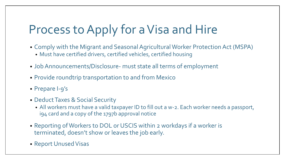# Process to Apply for a Visa and Hire

- Comply with the Migrant and Seasonal Agricultural Worker Protection Act (MSPA)
	- Must have certified drivers, certified vehicles, certified housing
- Job Announcements/Disclosure- must state all terms of employment
- Provide roundtrip transportation to and from Mexico
- Prepare I-9's
- Deduct Taxes & Social Security
	- All workers must have a valid taxpayer ID to fill out a w-2. Each worker needs a passport, i94 card and a copy of the 1797b approval notice
- Reporting of Workers to DOL or USCIS within 2 workdays if a worker is terminated, doesn't show or leaves the job early.
- Report Unused Visas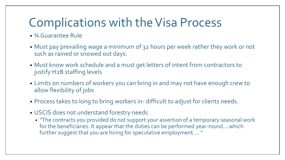## Complications with the Visa Process

- ¾ Guarantee Rule
- Must pay prevailing wage a minimum of 32 hours per week rather they work or not such as rained or snowed out days.
- Must know work schedule and a must get letters of intent from contractors to justify H2B staffing levels
- Limits on numbers of workers you can bring in and may not have enough crew to allow flexibility of jobs
- Process takes to long to bring workers in- difficult to adjust for clients needs.
- USCIS does not understand forestry needs
	- "The contracts you provided do not support your assertion of a temporary seasonal work for the beneficiaries. It appear that the duties can be performed year-round….which further suggest that you are hiring for speculative employment…. "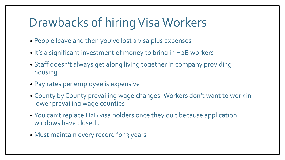## Drawbacks of hiring Visa Workers

- People leave and then you've lost a visa plus expenses
- It's a significant investment of money to bring in H2B workers
- Staff doesn't always get along living together in company providing housing
- Pay rates per employee is expensive
- County by County prevailing wage changes-Workers don't want to work in lower prevailing wage counties
- You can't replace H2B visa holders once they quit because application windows have closed .
- Must maintain every record for 3 years